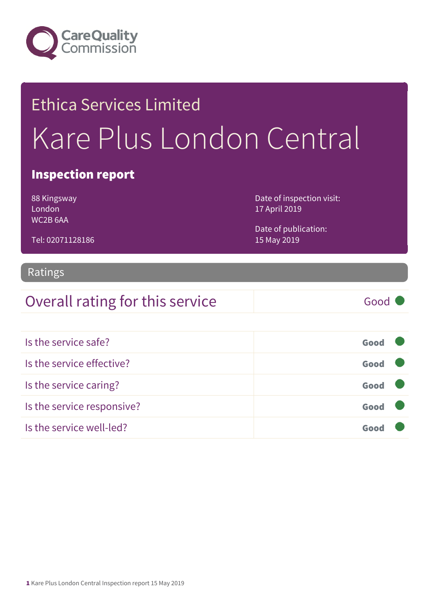

## Ethica Services Limited Kare Plus London Central

#### Inspection report

88 Kingsway London WC2B 6AA

Tel: 02071128186

Date of inspection visit: 17 April 2019

Date of publication: 15 May 2019

### Ratings

### Overall rating for this service Fig. 6000

Is the service safe? Good Is the service effective? Contact the service effective? Is the service caring? Good Is the service responsive? Good Is the service well-led? Good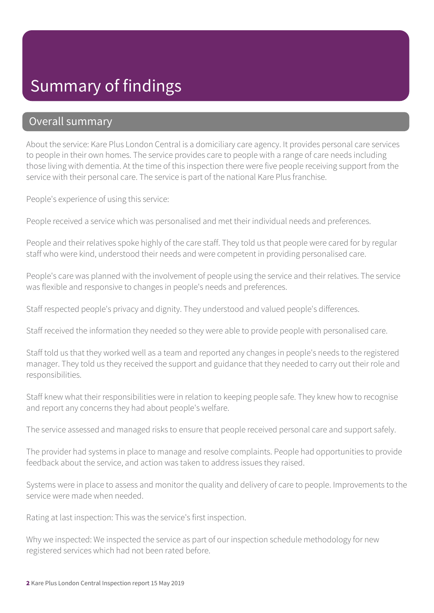### Summary of findings

#### Overall summary

About the service: Kare Plus London Central is a domiciliary care agency. It provides personal care services to people in their own homes. The service provides care to people with a range of care needs including those living with dementia. At the time of this inspection there were five people receiving support from the service with their personal care. The service is part of the national Kare Plus franchise.

People's experience of using this service:

People received a service which was personalised and met their individual needs and preferences.

People and their relatives spoke highly of the care staff. They told us that people were cared for by regular staff who were kind, understood their needs and were competent in providing personalised care.

People's care was planned with the involvement of people using the service and their relatives. The service was flexible and responsive to changes in people's needs and preferences.

Staff respected people's privacy and dignity. They understood and valued people's differences.

Staff received the information they needed so they were able to provide people with personalised care.

Staff told us that they worked well as a team and reported any changes in people's needs to the registered manager. They told us they received the support and guidance that they needed to carry out their role and responsibilities.

Staff knew what their responsibilities were in relation to keeping people safe. They knew how to recognise and report any concerns they had about people's welfare.

The service assessed and managed risks to ensure that people received personal care and support safely.

The provider had systems in place to manage and resolve complaints. People had opportunities to provide feedback about the service, and action was taken to address issues they raised.

Systems were in place to assess and monitor the quality and delivery of care to people. Improvements to the service were made when needed.

Rating at last inspection: This was the service's first inspection.

Why we inspected: We inspected the service as part of our inspection schedule methodology for new registered services which had not been rated before.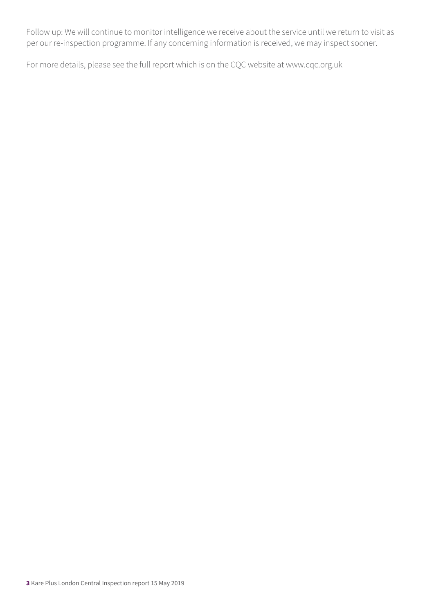Follow up: We will continue to monitor intelligence we receive about the service until we return to visit as per our re-inspection programme. If any concerning information is received, we may inspect sooner.

For more details, please see the full report which is on the CQC website at www.cqc.org.uk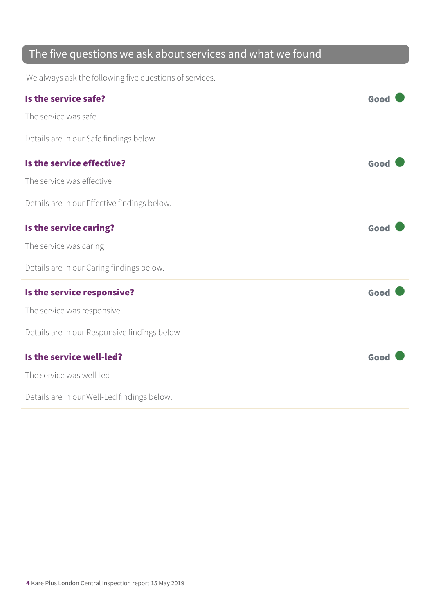### The five questions we ask about services and what we found

We always ask the following five questions of services.

| Is the service safe?                         | Good |
|----------------------------------------------|------|
| The service was safe                         |      |
| Details are in our Safe findings below       |      |
| Is the service effective?                    | Good |
| The service was effective                    |      |
| Details are in our Effective findings below. |      |
| Is the service caring?                       | Good |
| The service was caring                       |      |
| Details are in our Caring findings below.    |      |
| Is the service responsive?                   | Good |
| The service was responsive                   |      |
| Details are in our Responsive findings below |      |
| Is the service well-led?                     | Good |
| The service was well-led                     |      |
| Details are in our Well-Led findings below.  |      |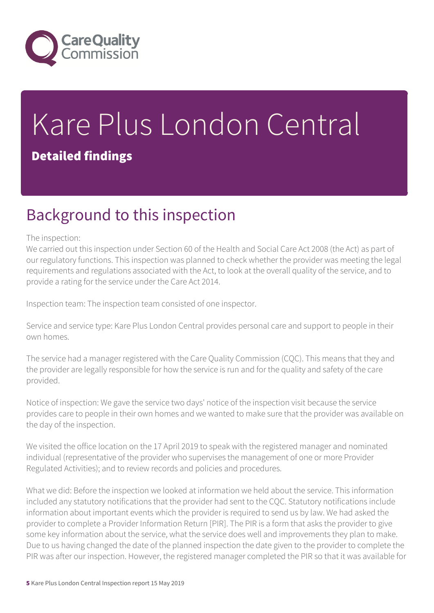

# Kare Plus London Central

#### Detailed findings

### Background to this inspection

#### The inspection:

We carried out this inspection under Section 60 of the Health and Social Care Act 2008 (the Act) as part of our regulatory functions. This inspection was planned to check whether the provider was meeting the legal requirements and regulations associated with the Act, to look at the overall quality of the service, and to provide a rating for the service under the Care Act 2014.

Inspection team: The inspection team consisted of one inspector.

Service and service type: Kare Plus London Central provides personal care and support to people in their own homes.

The service had a manager registered with the Care Quality Commission (CQC). This means that they and the provider are legally responsible for how the service is run and for the quality and safety of the care provided.

Notice of inspection: We gave the service two days' notice of the inspection visit because the service provides care to people in their own homes and we wanted to make sure that the provider was available on the day of the inspection.

We visited the office location on the 17 April 2019 to speak with the registered manager and nominated individual (representative of the provider who supervises the management of one or more Provider Regulated Activities); and to review records and policies and procedures.

What we did: Before the inspection we looked at information we held about the service. This information included any statutory notifications that the provider had sent to the CQC. Statutory notifications include information about important events which the provider is required to send us by law. We had asked the provider to complete a Provider Information Return [PIR]. The PIR is a form that asks the provider to give some key information about the service, what the service does well and improvements they plan to make. Due to us having changed the date of the planned inspection the date given to the provider to complete the PIR was after our inspection. However, the registered manager completed the PIR so that it was available for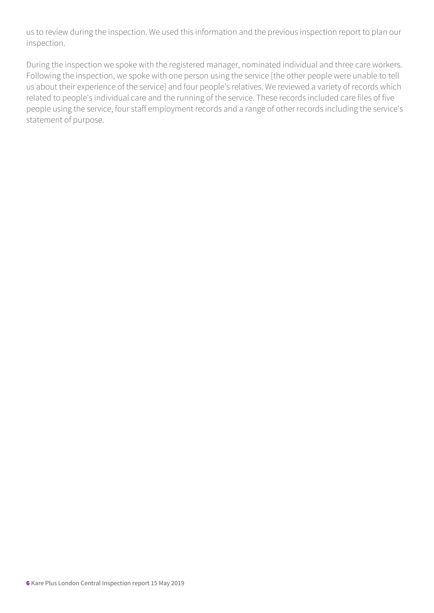us to review during the inspection. We used this information and the previous inspection report to plan our inspection.

During the inspection we spoke with the registered manager, nominated individual and three care workers. Following the inspection, we spoke with one person using the service [the other people were unable to tell us about their experience of the service] and four people's relatives. We reviewed a variety of records which related to people's individual care and the running of the service. These records included care files of five people using the service, four staff employment records and a range of other records including the service's statement of purpose.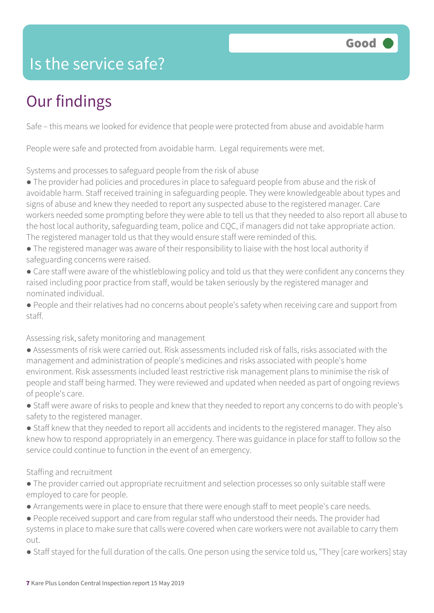### Is the service safe?

### Our findings

Safe – this means we looked for evidence that people were protected from abuse and avoidable harm

People were safe and protected from avoidable harm. Legal requirements were met.

Systems and processes to safeguard people from the risk of abuse

- The provider had policies and procedures in place to safeguard people from abuse and the risk of avoidable harm. Staff received training in safeguarding people. They were knowledgeable about types and signs of abuse and knew they needed to report any suspected abuse to the registered manager. Care workers needed some prompting before they were able to tell us that they needed to also report all abuse to the host local authority, safeguarding team, police and CQC, if managers did not take appropriate action. The registered manager told us that they would ensure staff were reminded of this.
- The registered manager was aware of their responsibility to liaise with the host local authority if safeguarding concerns were raised.
- Care staff were aware of the whistleblowing policy and told us that they were confident any concerns they raised including poor practice from staff, would be taken seriously by the registered manager and nominated individual.
- People and their relatives had no concerns about people's safety when receiving care and support from staff.

#### Assessing risk, safety monitoring and management

- Assessments of risk were carried out. Risk assessments included risk of falls, risks associated with the management and administration of people's medicines and risks associated with people's home environment. Risk assessments included least restrictive risk management plans to minimise the risk of people and staff being harmed. They were reviewed and updated when needed as part of ongoing reviews of people's care.
- Staff were aware of risks to people and knew that they needed to report any concerns to do with people's safety to the registered manager.
- Staff knew that they needed to report all accidents and incidents to the registered manager. They also knew how to respond appropriately in an emergency. There was guidance in place for staff to follow so the service could continue to function in the event of an emergency.

#### Staffing and recruitment

- The provider carried out appropriate recruitment and selection processes so only suitable staff were employed to care for people.
- Arrangements were in place to ensure that there were enough staff to meet people's care needs.
- People received support and care from regular staff who understood their needs. The provider had systems in place to make sure that calls were covered when care workers were not available to carry them out.
- Staff stayed for the full duration of the calls. One person using the service told us, "They [care workers] stay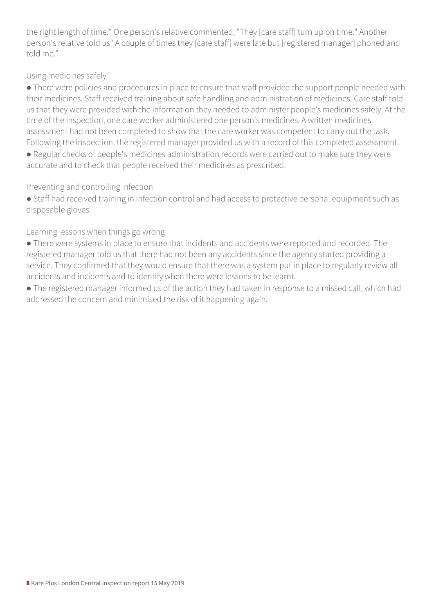the right length of time." One person's relative commented, "They [care staff] turn up on time." Another person's relative told us "A couple of times they [care staff] were late but [registered manager] phoned and told me."

#### Using medicines safely

● There were policies and procedures in place to ensure that staff provided the support people needed with their medicines. Staff received training about safe handling and administration of medicines. Care staff told us that they were provided with the information they needed to administer people's medicines safely. At the time of the inspection, one care worker administered one person's medicines. A written medicines assessment had not been completed to show that the care worker was competent to carry out the task. Following the inspection, the registered manager provided us with a record of this completed assessment.

● Regular checks of people's medicines administration records were carried out to make sure they were accurate and to check that people received their medicines as prescribed.

#### Preventing and controlling infection

● Staff had received training in infection control and had access to protective personal equipment such as disposable gloves.

#### Learning lessons when things go wrong

● There were systems in place to ensure that incidents and accidents were reported and recorded. The registered manager told us that there had not been any accidents since the agency started providing a service. They confirmed that they would ensure that there was a system put in place to regularly review all accidents and incidents and to identify when there were lessons to be learnt.

● The registered manager informed us of the action they had taken in response to a missed call, which had addressed the concern and minimised the risk of it happening again.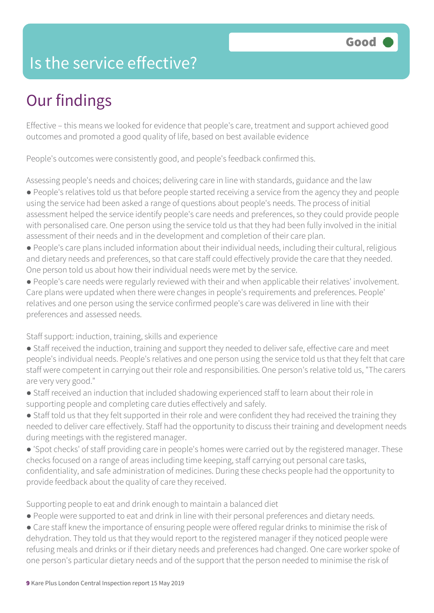### Is the service effective?

### Our findings

Effective – this means we looked for evidence that people's care, treatment and support achieved good outcomes and promoted a good quality of life, based on best available evidence

People's outcomes were consistently good, and people's feedback confirmed this.

Assessing people's needs and choices; delivering care in line with standards, guidance and the law

- People's relatives told us that before people started receiving a service from the agency they and people using the service had been asked a range of questions about people's needs. The process of initial assessment helped the service identify people's care needs and preferences, so they could provide people with personalised care. One person using the service told us that they had been fully involved in the initial assessment of their needs and in the development and completion of their care plan.
- People's care plans included information about their individual needs, including their cultural, religious and dietary needs and preferences, so that care staff could effectively provide the care that they needed. One person told us about how their individual needs were met by the service.
- People's care needs were regularly reviewed with their and when applicable their relatives' involvement. Care plans were updated when there were changes in people's requirements and preferences. People' relatives and one person using the service confirmed people's care was delivered in line with their preferences and assessed needs.

Staff support: induction, training, skills and experience

- Staff received the induction, training and support they needed to deliver safe, effective care and meet people's individual needs. People's relatives and one person using the service told us that they felt that care staff were competent in carrying out their role and responsibilities. One person's relative told us, "The carers are very very good."
- Staff received an induction that included shadowing experienced staff to learn about their role in supporting people and completing care duties effectively and safely.
- Staff told us that they felt supported in their role and were confident they had received the training they needed to deliver care effectively. Staff had the opportunity to discuss their training and development needs during meetings with the registered manager.
- 'Spot checks' of staff providing care in people's homes were carried out by the registered manager. These checks focused on a range of areas including time keeping, staff carrying out personal care tasks, confidentiality, and safe administration of medicines. During these checks people had the opportunity to provide feedback about the quality of care they received.

Supporting people to eat and drink enough to maintain a balanced diet

- People were supported to eat and drink in line with their personal preferences and dietary needs.
- Care staff knew the importance of ensuring people were offered regular drinks to minimise the risk of dehydration. They told us that they would report to the registered manager if they noticed people were refusing meals and drinks or if their dietary needs and preferences had changed. One care worker spoke of one person's particular dietary needs and of the support that the person needed to minimise the risk of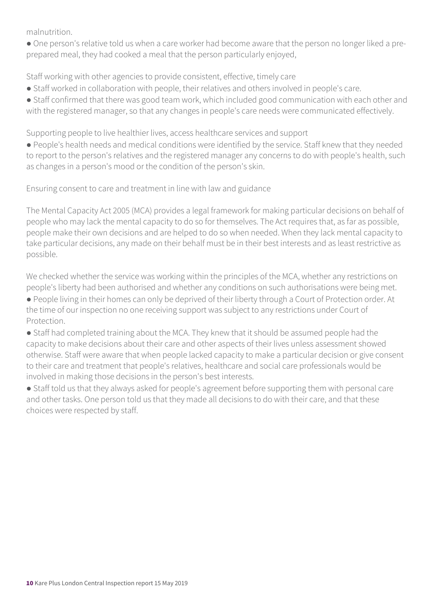malnutrition.

● One person's relative told us when a care worker had become aware that the person no longer liked a preprepared meal, they had cooked a meal that the person particularly enjoyed,

Staff working with other agencies to provide consistent, effective, timely care

- Staff worked in collaboration with people, their relatives and others involved in people's care.
- Staff confirmed that there was good team work, which included good communication with each other and with the registered manager, so that any changes in people's care needs were communicated effectively.

Supporting people to live healthier lives, access healthcare services and support

● People's health needs and medical conditions were identified by the service. Staff knew that they needed to report to the person's relatives and the registered manager any concerns to do with people's health, such as changes in a person's mood or the condition of the person's skin.

Ensuring consent to care and treatment in line with law and guidance

The Mental Capacity Act 2005 (MCA) provides a legal framework for making particular decisions on behalf of people who may lack the mental capacity to do so for themselves. The Act requires that, as far as possible, people make their own decisions and are helped to do so when needed. When they lack mental capacity to take particular decisions, any made on their behalf must be in their best interests and as least restrictive as possible.

We checked whether the service was working within the principles of the MCA, whether any restrictions on people's liberty had been authorised and whether any conditions on such authorisations were being met.

● People living in their homes can only be deprived of their liberty through a Court of Protection order. At the time of our inspection no one receiving support was subject to any restrictions under Court of Protection.

● Staff had completed training about the MCA. They knew that it should be assumed people had the capacity to make decisions about their care and other aspects of their lives unless assessment showed otherwise. Staff were aware that when people lacked capacity to make a particular decision or give consent to their care and treatment that people's relatives, healthcare and social care professionals would be involved in making those decisions in the person's best interests.

● Staff told us that they always asked for people's agreement before supporting them with personal care and other tasks. One person told us that they made all decisions to do with their care, and that these choices were respected by staff.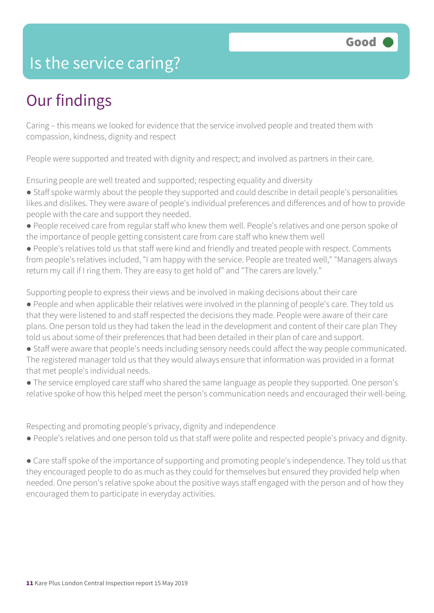### Is the service caring?

### Our findings

Caring – this means we looked for evidence that the service involved people and treated them with compassion, kindness, dignity and respect

People were supported and treated with dignity and respect; and involved as partners in their care.

Ensuring people are well treated and supported; respecting equality and diversity

- Staff spoke warmly about the people they supported and could describe in detail people's personalities likes and dislikes. They were aware of people's individual preferences and differences and of how to provide people with the care and support they needed.
- People received care from regular staff who knew them well. People's relatives and one person spoke of the importance of people getting consistent care from care staff who knew them well
- People's relatives told us that staff were kind and friendly and treated people with respect. Comments from people's relatives included, "I am happy with the service. People are treated well," "Managers always return my call if I ring them. They are easy to get hold of" and "The carers are lovely."

Supporting people to express their views and be involved in making decisions about their care

- People and when applicable their relatives were involved in the planning of people's care. They told us that they were listened to and staff respected the decisions they made. People were aware of their care plans. One person told us they had taken the lead in the development and content of their care plan They told us about some of their preferences that had been detailed in their plan of care and support.
- Staff were aware that people's needs including sensory needs could affect the way people communicated. The registered manager told us that they would always ensure that information was provided in a format that met people's individual needs.
- The service employed care staff who shared the same language as people they supported. One person's relative spoke of how this helped meet the person's communication needs and encouraged their well-being.

Respecting and promoting people's privacy, dignity and independence

● People's relatives and one person told us that staff were polite and respected people's privacy and dignity.

• Care staff spoke of the importance of supporting and promoting people's independence. They told us that they encouraged people to do as much as they could for themselves but ensured they provided help when needed. One person's relative spoke about the positive ways staff engaged with the person and of how they encouraged them to participate in everyday activities.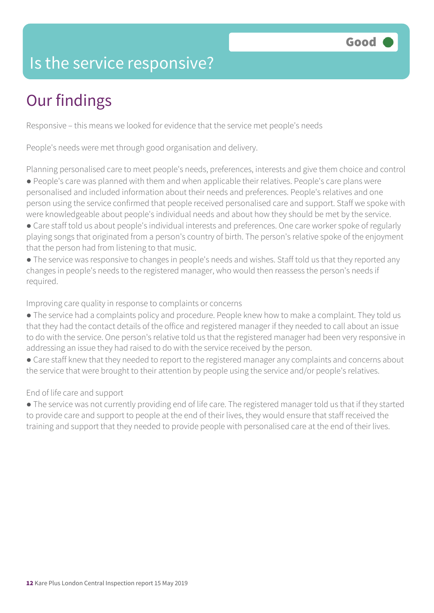### Is the service responsive?

### Our findings

Responsive – this means we looked for evidence that the service met people's needs

People's needs were met through good organisation and delivery.

Planning personalised care to meet people's needs, preferences, interests and give them choice and control ● People's care was planned with them and when applicable their relatives. People's care plans were

personalised and included information about their needs and preferences. People's relatives and one person using the service confirmed that people received personalised care and support. Staff we spoke with were knowledgeable about people's individual needs and about how they should be met by the service.

- Care staff told us about people's individual interests and preferences. One care worker spoke of regularly playing songs that originated from a person's country of birth. The person's relative spoke of the enjoyment that the person had from listening to that music.
- The service was responsive to changes in people's needs and wishes. Staff told us that they reported any changes in people's needs to the registered manager, who would then reassess the person's needs if required.

Improving care quality in response to complaints or concerns

- The service had a complaints policy and procedure. People knew how to make a complaint. They told us that they had the contact details of the office and registered manager if they needed to call about an issue to do with the service. One person's relative told us that the registered manager had been very responsive in addressing an issue they had raised to do with the service received by the person.
- Care staff knew that they needed to report to the registered manager any complaints and concerns about the service that were brought to their attention by people using the service and/or people's relatives.

#### End of life care and support

● The service was not currently providing end of life care. The registered manager told us that if they started to provide care and support to people at the end of their lives, they would ensure that staff received the training and support that they needed to provide people with personalised care at the end of their lives.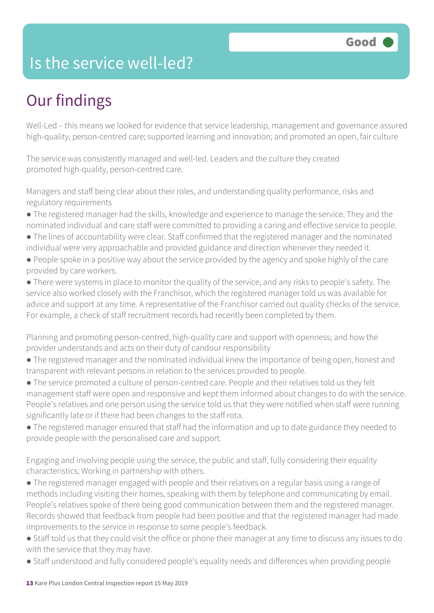### Is the service well-led?

### Our findings

Well-Led – this means we looked for evidence that service leadership, management and governance assured high-quality, person-centred care; supported learning and innovation; and promoted an open, fair culture

The service was consistently managed and well-led. Leaders and the culture they created promoted high-quality, person-centred care.

Managers and staff being clear about their roles, and understanding quality performance, risks and regulatory requirements

- The registered manager had the skills, knowledge and experience to manage the service. They and the nominated individual and care staff were committed to providing a caring and effective service to people.
- The lines of accountability were clear. Staff confirmed that the registered manager and the nominated individual were very approachable and provided guidance and direction whenever they needed it.
- People spoke in a positive way about the service provided by the agency and spoke highly of the care provided by care workers.

● There were systems in place to monitor the quality of the service, and any risks to people's safety. The service also worked closely with the Franchisor, which the registered manager told us was available for advice and support at any time. A representative of the Franchisor carried out quality checks of the service. For example, a check of staff recruitment records had recently been completed by them.

Planning and promoting person-centred, high-quality care and support with openness; and how the provider understands and acts on their duty of candour responsibility

- The registered manager and the nominated individual knew the importance of being open, honest and transparent with relevant persons in relation to the services provided to people.
- The service promoted a culture of person-centred care. People and their relatives told us they felt management staff were open and responsive and kept them informed about changes to do with the service. People's relatives and one person using the service told us that they were notified when staff were running significantly late or if there had been changes to the staff rota.
- The registered manager ensured that staff had the information and up to date guidance they needed to provide people with the personalised care and support.

Engaging and involving people using the service, the public and staff, fully considering their equality characteristics; Working in partnership with others.

- The registered manager engaged with people and their relatives on a regular basis using a range of methods including visiting their homes, speaking with them by telephone and communicating by email. People's relatives spoke of there being good communication between them and the registered manager. Records showed that feedback from people had been positive and that the registered manager had made improvements to the service in response to some people's feedback.
- Staff told us that they could visit the office or phone their manager at any time to discuss any issues to do with the service that they may have.
- Staff understood and fully considered people's equality needs and differences when providing people